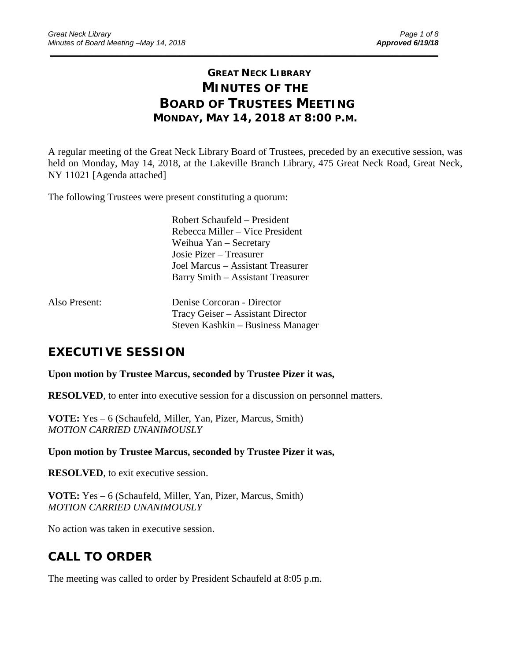# **GREAT NECK LIBRARY MINUTES OF THE BOARD OF TRUSTEES MEETING MONDAY, MAY 14, 2018 AT 8:00 P.M.**

\_\_\_\_\_\_\_\_\_\_\_\_\_\_\_\_\_\_\_\_\_\_\_\_\_\_\_\_\_\_\_\_\_\_\_\_\_\_\_\_\_\_\_\_\_\_\_\_\_\_\_\_\_\_\_\_\_\_\_\_\_\_\_\_\_\_\_\_\_\_\_\_\_\_\_\_\_\_\_\_\_\_\_\_\_\_\_\_\_\_\_\_\_

A regular meeting of the Great Neck Library Board of Trustees, preceded by an executive session, was held on Monday, May 14, 2018, at the Lakeville Branch Library, 475 Great Neck Road, Great Neck, NY 11021 [Agenda attached]

The following Trustees were present constituting a quorum:

Robert Schaufeld – President Rebecca Miller – Vice President Weihua Yan – Secretary Josie Pizer – Treasurer Joel Marcus – Assistant Treasurer Barry Smith – Assistant Treasurer

| Also Present: | Denise Corcoran - Director        |
|---------------|-----------------------------------|
|               | Tracy Geiser – Assistant Director |
|               | Steven Kashkin – Business Manager |

# **EXECUTIVE SESSION**

**Upon motion by Trustee Marcus, seconded by Trustee Pizer it was,**

**RESOLVED**, to enter into executive session for a discussion on personnel matters.

**VOTE:** Yes – 6 (Schaufeld, Miller, Yan, Pizer, Marcus, Smith) *MOTION CARRIED UNANIMOUSLY*

**Upon motion by Trustee Marcus, seconded by Trustee Pizer it was,**

**RESOLVED**, to exit executive session.

**VOTE:** Yes – 6 (Schaufeld, Miller, Yan, Pizer, Marcus, Smith) *MOTION CARRIED UNANIMOUSLY*

No action was taken in executive session.

# **CALL TO ORDER**

The meeting was called to order by President Schaufeld at 8:05 p.m.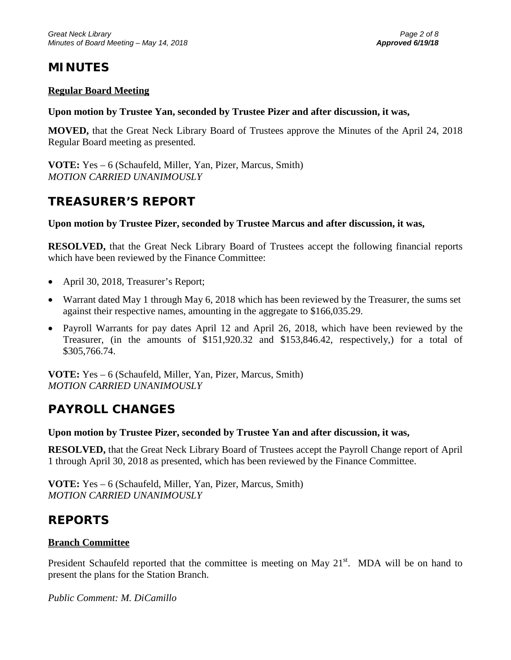# **MINUTES**

### **Regular Board Meeting**

### **Upon motion by Trustee Yan, seconded by Trustee Pizer and after discussion, it was,**

**MOVED,** that the Great Neck Library Board of Trustees approve the Minutes of the April 24, 2018 Regular Board meeting as presented.

**VOTE:** Yes – 6 (Schaufeld, Miller, Yan, Pizer, Marcus, Smith) *MOTION CARRIED UNANIMOUSLY*

# **TREASURER'S REPORT**

### **Upon motion by Trustee Pizer, seconded by Trustee Marcus and after discussion, it was,**

**RESOLVED,** that the Great Neck Library Board of Trustees accept the following financial reports which have been reviewed by the Finance Committee:

- April 30, 2018, Treasurer's Report;
- Warrant dated May 1 through May 6, 2018 which has been reviewed by the Treasurer, the sums set against their respective names, amounting in the aggregate to \$166,035.29.
- Payroll Warrants for pay dates April 12 and April 26, 2018, which have been reviewed by the Treasurer, (in the amounts of \$151,920.32 and \$153,846.42, respectively,) for a total of \$305,766.74.

**VOTE:** Yes – 6 (Schaufeld, Miller, Yan, Pizer, Marcus, Smith) *MOTION CARRIED UNANIMOUSLY*

# **PAYROLL CHANGES**

### **Upon motion by Trustee Pizer, seconded by Trustee Yan and after discussion, it was,**

**RESOLVED,** that the Great Neck Library Board of Trustees accept the Payroll Change report of April 1 through April 30, 2018 as presented, which has been reviewed by the Finance Committee.

**VOTE:** Yes – 6 (Schaufeld, Miller, Yan, Pizer, Marcus, Smith) *MOTION CARRIED UNANIMOUSLY*

## **REPORTS**

### **Branch Committee**

President Schaufeld reported that the committee is meeting on May  $21<sup>st</sup>$ . MDA will be on hand to present the plans for the Station Branch.

*Public Comment: M. DiCamillo*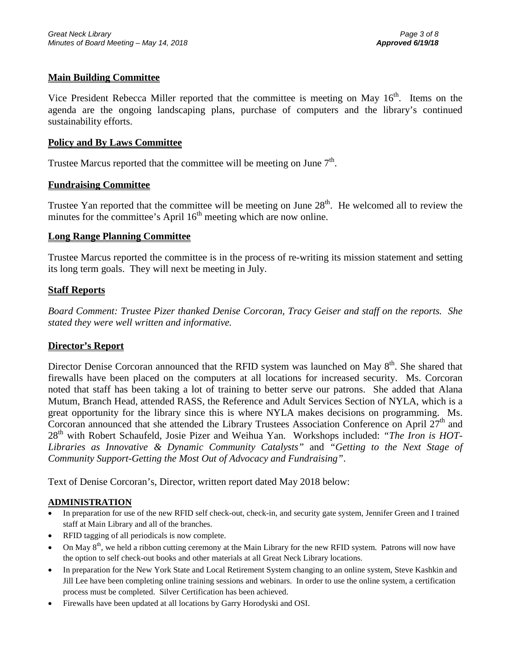### **Main Building Committee**

Vice President Rebecca Miller reported that the committee is meeting on May 16<sup>th</sup>. Items on the agenda are the ongoing landscaping plans, purchase of computers and the library's continued sustainability efforts.

### **Policy and By Laws Committee**

Trustee Marcus reported that the committee will be meeting on June  $7<sup>th</sup>$ .

### **Fundraising Committee**

Trustee Yan reported that the committee will be meeting on June 28<sup>th</sup>. He welcomed all to review the minutes for the committee's April  $16<sup>th</sup>$  meeting which are now online.

### **Long Range Planning Committee**

Trustee Marcus reported the committee is in the process of re-writing its mission statement and setting its long term goals. They will next be meeting in July.

### **Staff Reports**

*Board Comment: Trustee Pizer thanked Denise Corcoran, Tracy Geiser and staff on the reports. She stated they were well written and informative.*

### **Director's Report**

Director Denise Corcoran announced that the RFID system was launched on May 8<sup>th</sup>. She shared that firewalls have been placed on the computers at all locations for increased security. Ms. Corcoran noted that staff has been taking a lot of training to better serve our patrons. She added that Alana Mutum, Branch Head, attended RASS, the Reference and Adult Services Section of NYLA, which is a great opportunity for the library since this is where NYLA makes decisions on programming. Ms. Corcoran announced that she attended the Library Trustees Association Conference on April  $27<sup>th</sup>$  and 28th with Robert Schaufeld, Josie Pizer and Weihua Yan. Workshops included: *"The Iron is HOT-Libraries as Innovative & Dynamic Community Catalysts"* and *"Getting to the Next Stage of Community Support-Getting the Most Out of Advocacy and Fundraising"*.

Text of Denise Corcoran's, Director, written report dated May 2018 below:

### **ADMINISTRATION**

- In preparation for use of the new RFID self check-out, check-in, and security gate system, Jennifer Green and I trained staff at Main Library and all of the branches.
- RFID tagging of all periodicals is now complete.
- On May  $8<sup>th</sup>$ , we held a ribbon cutting ceremony at the Main Library for the new RFID system. Patrons will now have the option to self check-out books and other materials at all Great Neck Library locations.
- In preparation for the New York State and Local Retirement System changing to an online system, Steve Kashkin and Jill Lee have been completing online training sessions and webinars. In order to use the online system, a certification process must be completed. Silver Certification has been achieved.
- Firewalls have been updated at all locations by Garry Horodyski and OSI.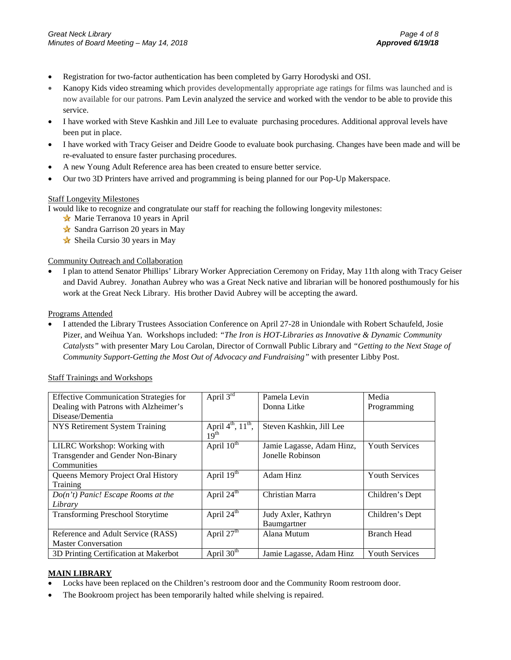- Registration for two-factor authentication has been completed by Garry Horodyski and OSI.
- Kanopy Kids video streaming which provides developmentally appropriate age ratings for films was launched and is now available for our patrons. Pam Levin analyzed the service and worked with the vendor to be able to provide this service.
- I have worked with Steve Kashkin and Jill Lee to evaluate purchasing procedures. Additional approval levels have been put in place.
- I have worked with Tracy Geiser and Deidre Goode to evaluate book purchasing. Changes have been made and will be re-evaluated to ensure faster purchasing procedures.
- A new Young Adult Reference area has been created to ensure better service.
- Our two 3D Printers have arrived and programming is being planned for our Pop-Up Makerspace.

#### Staff Longevity Milestones

I would like to recognize and congratulate our staff for reaching the following longevity milestones:

- ★ Marie Terranova 10 years in April
- Sandra Garrison 20 years in May
- Sheila Cursio 30 years in May

#### Community Outreach and Collaboration

• I plan to attend Senator Phillips' Library Worker Appreciation Ceremony on Friday, May 11th along with Tracy Geiser and David Aubrey. Jonathan Aubrey who was a Great Neck native and librarian will be honored posthumously for his work at the Great Neck Library. His brother David Aubrey will be accepting the award.

#### Programs Attended

• I attended the Library Trustees Association Conference on April 27-28 in Uniondale with Robert Schaufeld, Josie Pizer, and Weihua Yan. Workshops included: *"The Iron is HOT-Libraries as Innovative & Dynamic Community Catalysts"* with presenter Mary Lou Carolan, Director of Cornwall Public Library and *"Getting to the Next Stage of Community Support-Getting the Most Out of Advocacy and Fundraising"* with presenter Libby Post.

|  | <b>Staff Trainings and Workshops</b> |
|--|--------------------------------------|
|  |                                      |

| <b>Effective Communication Strategies for</b> | April $3rd$                                                    | Pamela Levin              | Media                 |
|-----------------------------------------------|----------------------------------------------------------------|---------------------------|-----------------------|
| Dealing with Patrons with Alzheimer's         |                                                                | Donna Litke               | Programming           |
| Disease/Dementia                              |                                                                |                           |                       |
| NYS Retirement System Training                | April $4^{\text{th}}$ , $11^{\text{th}}$ ,<br>19 <sup>th</sup> | Steven Kashkin, Jill Lee  |                       |
| LILRC Workshop: Working with                  | April 10 <sup>th</sup>                                         | Jamie Lagasse, Adam Hinz, | <b>Youth Services</b> |
| Transgender and Gender Non-Binary             |                                                                | Jonelle Robinson          |                       |
| Communities                                   |                                                                |                           |                       |
| Queens Memory Project Oral History            | April $19th$                                                   | Adam Hinz                 | <b>Youth Services</b> |
| Training                                      |                                                                |                           |                       |
| $Do(n't) Panic!$ Escape Rooms at the          | April 24 <sup>th</sup>                                         | Christian Marra           | Children's Dept       |
| Library                                       |                                                                |                           |                       |
| <b>Transforming Preschool Storytime</b>       | April 24 <sup>th</sup>                                         | Judy Axler, Kathryn       | Children's Dept       |
|                                               |                                                                | Baumgartner               |                       |
| Reference and Adult Service (RASS)            | April $27th$                                                   | Alana Mutum               | <b>Branch Head</b>    |
| <b>Master Conversation</b>                    |                                                                |                           |                       |
| 3D Printing Certification at Makerbot         | April $30th$                                                   | Jamie Lagasse, Adam Hinz  | <b>Youth Services</b> |

#### **MAIN LIBRARY**

- Locks have been replaced on the Children's restroom door and the Community Room restroom door.
- The Bookroom project has been temporarily halted while shelving is repaired.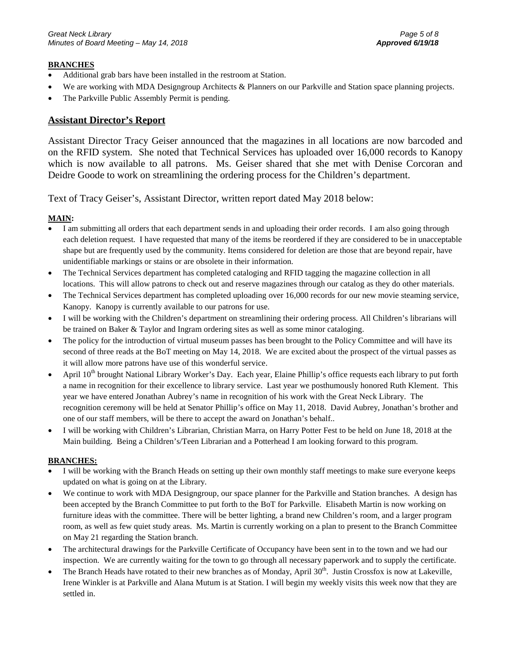#### **BRANCHES**

- Additional grab bars have been installed in the restroom at Station.
- We are working with MDA Designgroup Architects & Planners on our Parkville and Station space planning projects.
- The Parkville Public Assembly Permit is pending.

### **Assistant Director's Report**

Assistant Director Tracy Geiser announced that the magazines in all locations are now barcoded and on the RFID system. She noted that Technical Services has uploaded over 16,000 records to Kanopy which is now available to all patrons. Ms. Geiser shared that she met with Denise Corcoran and Deidre Goode to work on streamlining the ordering process for the Children's department.

Text of Tracy Geiser's, Assistant Director, written report dated May 2018 below:

#### **MAIN:**

- I am submitting all orders that each department sends in and uploading their order records. I am also going through each deletion request. I have requested that many of the items be reordered if they are considered to be in unacceptable shape but are frequently used by the community. Items considered for deletion are those that are beyond repair, have unidentifiable markings or stains or are obsolete in their information.
- The Technical Services department has completed cataloging and RFID tagging the magazine collection in all locations. This will allow patrons to check out and reserve magazines through our catalog as they do other materials.
- The Technical Services department has completed uploading over 16,000 records for our new movie steaming service, Kanopy. Kanopy is currently available to our patrons for use.
- I will be working with the Children's department on streamlining their ordering process. All Children's librarians will be trained on Baker & Taylor and Ingram ordering sites as well as some minor cataloging.
- The policy for the introduction of virtual museum passes has been brought to the Policy Committee and will have its second of three reads at the BoT meeting on May 14, 2018. We are excited about the prospect of the virtual passes as it will allow more patrons have use of this wonderful service.
- April 10<sup>th</sup> brought National Library Worker's Day. Each year, Elaine Phillip's office requests each library to put forth a name in recognition for their excellence to library service. Last year we posthumously honored Ruth Klement. This year we have entered Jonathan Aubrey's name in recognition of his work with the Great Neck Library. The recognition ceremony will be held at Senator Phillip's office on May 11, 2018. David Aubrey, Jonathan's brother and one of our staff members, will be there to accept the award on Jonathan's behalf..
- I will be working with Children's Librarian, Christian Marra, on Harry Potter Fest to be held on June 18, 2018 at the Main building. Being a Children's/Teen Librarian and a Potterhead I am looking forward to this program.

#### **BRANCHES:**

- I will be working with the Branch Heads on setting up their own monthly staff meetings to make sure everyone keeps updated on what is going on at the Library.
- We continue to work with MDA Designgroup, our space planner for the Parkville and Station branches. A design has been accepted by the Branch Committee to put forth to the BoT for Parkville. Elisabeth Martin is now working on furniture ideas with the committee. There will be better lighting, a brand new Children's room, and a larger program room, as well as few quiet study areas. Ms. Martin is currently working on a plan to present to the Branch Committee on May 21 regarding the Station branch.
- The architectural drawings for the Parkville Certificate of Occupancy have been sent in to the town and we had our inspection. We are currently waiting for the town to go through all necessary paperwork and to supply the certificate.
- The Branch Heads have rotated to their new branches as of Monday, April 30<sup>th</sup>. Justin Crossfox is now at Lakeville, Irene Winkler is at Parkville and Alana Mutum is at Station. I will begin my weekly visits this week now that they are settled in.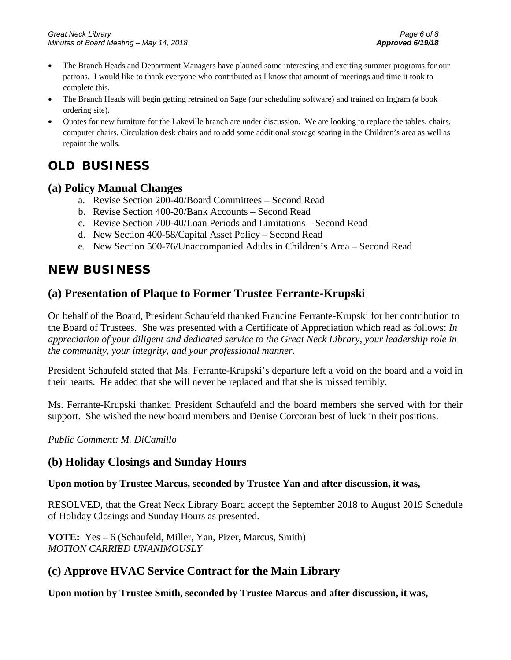- The Branch Heads and Department Managers have planned some interesting and exciting summer programs for our patrons. I would like to thank everyone who contributed as I know that amount of meetings and time it took to complete this.
- The Branch Heads will begin getting retrained on Sage (our scheduling software) and trained on Ingram (a book ordering site).
- Quotes for new furniture for the Lakeville branch are under discussion. We are looking to replace the tables, chairs, computer chairs, Circulation desk chairs and to add some additional storage seating in the Children's area as well as repaint the walls.

# **OLD BUSINESS**

## **(a) Policy Manual Changes**

- a. Revise Section 200-40/Board Committees Second Read
- b. Revise Section 400-20/Bank Accounts Second Read
- c. Revise Section 700-40/Loan Periods and Limitations Second Read
- d. New Section 400-58/Capital Asset Policy Second Read
- e. New Section 500-76/Unaccompanied Adults in Children's Area Second Read

# **NEW BUSINESS**

## **(a) Presentation of Plaque to Former Trustee Ferrante-Krupski**

On behalf of the Board, President Schaufeld thanked Francine Ferrante-Krupski for her contribution to the Board of Trustees. She was presented with a Certificate of Appreciation which read as follows: *In appreciation of your diligent and dedicated service to the Great Neck Library, your leadership role in the community, your integrity, and your professional manner.*

President Schaufeld stated that Ms. Ferrante-Krupski's departure left a void on the board and a void in their hearts. He added that she will never be replaced and that she is missed terribly.

Ms. Ferrante-Krupski thanked President Schaufeld and the board members she served with for their support. She wished the new board members and Denise Corcoran best of luck in their positions.

*Public Comment: M. DiCamillo*

## **(b) Holiday Closings and Sunday Hours**

### **Upon motion by Trustee Marcus, seconded by Trustee Yan and after discussion, it was,**

RESOLVED, that the Great Neck Library Board accept the September 2018 to August 2019 Schedule of Holiday Closings and Sunday Hours as presented.

**VOTE:** Yes – 6 (Schaufeld, Miller, Yan, Pizer, Marcus, Smith) *MOTION CARRIED UNANIMOUSLY*

## **(c) Approve HVAC Service Contract for the Main Library**

**Upon motion by Trustee Smith, seconded by Trustee Marcus and after discussion, it was,**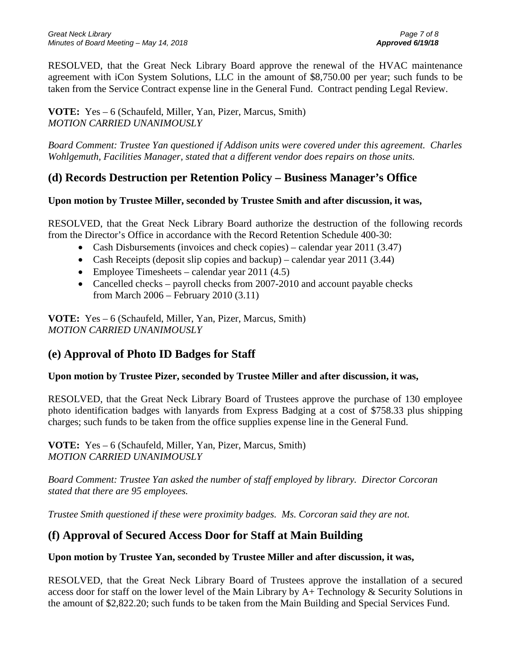RESOLVED, that the Great Neck Library Board approve the renewal of the HVAC maintenance agreement with iCon System Solutions, LLC in the amount of \$8,750.00 per year; such funds to be taken from the Service Contract expense line in the General Fund. Contract pending Legal Review.

**VOTE:** Yes – 6 (Schaufeld, Miller, Yan, Pizer, Marcus, Smith) *MOTION CARRIED UNANIMOUSLY*

*Board Comment: Trustee Yan questioned if Addison units were covered under this agreement. Charles Wohlgemuth, Facilities Manager, stated that a different vendor does repairs on those units.*

# **(d) Records Destruction per Retention Policy – Business Manager's Office**

## **Upon motion by Trustee Miller, seconded by Trustee Smith and after discussion, it was,**

RESOLVED, that the Great Neck Library Board authorize the destruction of the following records from the Director's Office in accordance with the Record Retention Schedule 400-30:

- Cash Disbursements (invoices and check copies) calendar year 2011 (3.47)
- Cash Receipts (deposit slip copies and backup) calendar year 2011 (3.44)
- Employee Timesheets calendar year 2011 (4.5)
- Cancelled checks payroll checks from 2007-2010 and account payable checks from March 2006 – February 2010 (3.11)

**VOTE:** Yes – 6 (Schaufeld, Miller, Yan, Pizer, Marcus, Smith) *MOTION CARRIED UNANIMOUSLY*

# **(e) Approval of Photo ID Badges for Staff**

## **Upon motion by Trustee Pizer, seconded by Trustee Miller and after discussion, it was,**

RESOLVED, that the Great Neck Library Board of Trustees approve the purchase of 130 employee photo identification badges with lanyards from Express Badging at a cost of \$758.33 plus shipping charges; such funds to be taken from the office supplies expense line in the General Fund.

**VOTE:** Yes – 6 (Schaufeld, Miller, Yan, Pizer, Marcus, Smith) *MOTION CARRIED UNANIMOUSLY*

*Board Comment: Trustee Yan asked the number of staff employed by library. Director Corcoran stated that there are 95 employees.* 

*Trustee Smith questioned if these were proximity badges. Ms. Corcoran said they are not.*

# **(f) Approval of Secured Access Door for Staff at Main Building**

### **Upon motion by Trustee Yan, seconded by Trustee Miller and after discussion, it was,**

RESOLVED, that the Great Neck Library Board of Trustees approve the installation of a secured access door for staff on the lower level of the Main Library by A+ Technology & Security Solutions in the amount of \$2,822.20; such funds to be taken from the Main Building and Special Services Fund.